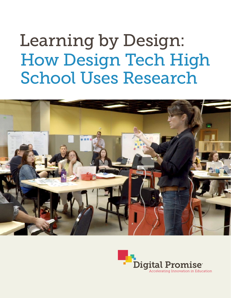# Learning by Design: How Design Tech High School Uses Research



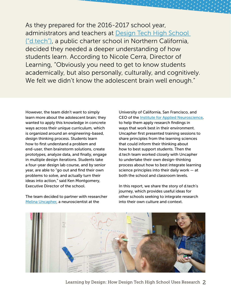As they prepared for the 2016-2017 school year, administrators and teachers at [Design Tech High School](http://www.designtechhighschool.org/)  [\("d.tech"\)](http://www.designtechhighschool.org/), a public charter school in Northern California, decided they needed a deeper understanding of how students learn. According to Nicole Cerra, Director of Learning, "Obviously you need to get to know students academically, but also personally, culturally, and cognitively. We felt we didn't know the adolescent brain well enough."

However, the team didn't want to simply learn more about the adolescent brain; they wanted to apply this knowledge in concrete ways across their unique curriculum, which is organized around an engineering-based, design thinking process. Students learn how to first understand a problem and end-user, then brainstorm solutions, create prototypes, analyze data, and finally, engage in multiple design iterations. Students take a four-year design lab course, and by senior year, are able to "go out and find their own problems to solve, and actually turn their ideas into action," said Ken Montgomery, Executive Director of the school.

The team decided to partner with researcher [Melina Uncapher,](https://neuroscape.ucsf.edu/profile/melina-uncapher/) a neuroscientist at the

University of California, San Francisco, and CEO of the **Institute for Applied Neuroscience**, to help them apply research findings in ways that work best in their environment. Uncapher first presented training sessions to share principles from the learning sciences that could inform their thinking about how to best support students. Then the d.tech team worked closely with Uncapher to undertake their own design-thinking process about how to best integrate learning science principles into their daily work — at both the school and classroom levels.

In this report, we share the story of d.tech's journey, which provides useful ideas for other schools seeking to integrate research into their own culture and context.



Learning by Design: How Design Tech High School Uses Research 2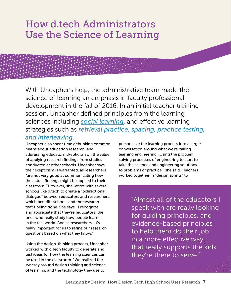### How d.tech Administrators Use the Science of Learning

With Uncapher's help, the administrative team made the science of learning an emphasis in faculty professional development in the fall of 2016. In an initial teacher training session, Uncapher defined principles from the learning sciences including *[social learning](https://www.edsurge.com/news/2016-12-20-brain-science-and-education-how-much-should-teachers-know)*, and effective learning strategies such as *[retrieval practice, spacing, practice testing,](http://www.learningscientists.org/downloadable-materials)  [and interleaving.](http://www.learningscientists.org/downloadable-materials)* 

Uncapher also spent time debunking common myths about education research, and addressing educators' skepticism on the value of applying research findings from studies conducted at other schools. Uncapher says their skepticism is warranted, as researchers "are not very good at communicating how the actual findings might be applied to their classroom." However, she works with several schools like d.tech to create a "bidirectional dialogue" between educators and researchers, which benefits schools and the research that's being done. She says, "I recognize and appreciate that they're [educators] the ones who really study how people learn in the real world. And as researchers...it's really important for us to refine our research questions based on what they know."

Using the design-thinking process, Uncapher worked with d.tech faculty to generate and test ideas for how the learning sciences can be used in the classroom. "We realized the synergy around design thinking and science of learning, and the technology they use to

personalize the learning process into a larger conversation around what we're calling learning engineering...Using the problem solving processes of engineering to start to take the science and engineering solutions to problems of practice," she said. Teachers worked together in "design sprints" to

> "Almost all of the educators I speak with are really looking for guiding principles, and evidence-based principles to help them do their job in a more effective way... that really supports the kids they're there to serve."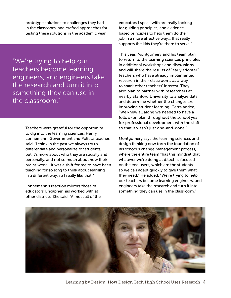prototype solutions to challenges they had in the classroom, and crafted approaches for testing these solutions in the academic year.

"We're trying to help our teachers become learning engineers, and engineers take the research and turn it into something they can use in the classroom."

> Teachers were grateful for the opportunity to dig into the learning sciences. Henry Lonnemann, Government and Politics teacher, said, "I think in the past we always try to differentiate and personalize for students, but it's more about who they are socially and personally, and not so much about how their brains work… It was a shift for me to have been teaching for so long to think about learning in a different way, so I really like that."

Lonnemann's reaction mirrors those of educators Uncapher has worked with at other districts. She said, "Almost all of the educators I speak with are really looking for guiding principles, and evidencebased principles to help them do their job in a more effective way... that really supports the kids they're there to serve."

This year, Montgomery and his team plan to return to the learning sciences principles in additional workshops and discussions, and will share the results of "early adopter" teachers who have already implemented research in their classrooms as a way to spark other teachers' interest. They also plan to partner with researchers at nearby Stanford University to analyze data and determine whether the changes are improving student learning. Cerra added, "We knew all along we needed to have a follow-on plan throughout the school year for professional development with the staff, so that it wasn't just one-and-done."

Montgomery says the learning sciences and design thinking now form the foundation of his school's change management process, where the entire team "has this mindset that whatever we're doing at d.tech is focused on the end users, which are the students... so we can adapt quickly to give them what they need." He added, "We're trying to help our teachers become learning engineers, and engineers take the research and turn it into something they can use in the classroom."



Learning by Design: How Design Tech High School Uses Research 4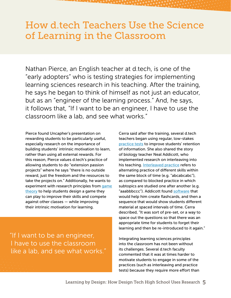#### How d.tech Teachers Use the Science of Learning in the Classroom

Nathan Pierce, an English teacher at d.tech, is one of the "early adopters" who is testing strategies for implementing learning sciences research in his teaching. After the training, he says he began to think of himself as not just an educator, but as an "engineer of the learning process." And, he says, it follows that, "If I want to be an engineer, I have to use the classroom like a lab, and see what works."

Pierce found Uncapher's presentation on rewarding students to be particularly useful, especially research on the importance of building students' intrinsic motivation to learn, rather than using all external rewards. For this reason, Pierce values d.tech's practice of allowing students to do "extension passion projects" where he says "there is no outside reward, just the freedom and the resources to take the projects on." Additionally, he wants to experiment with research principles from [game](http://www.sciencedirect.com/science/article/pii/S0360131510000527) [theory](http://www.sciencedirect.com/science/article/pii/S0360131510000527) to help students design a game they can play to improve their skills and compete against other classes — while improving their intrinsic motivation for learning.

"If I want to be an engineer, I have to use the classroom like a lab, and see what works." Cerra said after the training, several d.tech teachers began using regular, low-stakes [practice tests](http://digitalpromise.org/2015/02/07/five-learning-strategies-that-work/) to improve students' retention of information. She also shared the story of biology teacher Neal Addicott, who implemented research on interleaving into his teaching. [Interleaved practice](http://digitalpromise.org/2015/02/07/five-learning-strategies-that-work/) refers to alternating practice of different skills within the same block of time (e.g. "abcabcabc"), as compared to blocked practice in which subtopics are studied one after another (e.g. "aaabbbccc"). Addicott found [software](https://www.cerego.com/) that would help him create flashcards, and then a sequence that would show students different material at spaced intervals of time. Cerra described, "It was sort of pre-set, or a way to space out the questions so that there was an appropriate time for students to forget their learning and then be re-introduced to it again."

Integrating learning sciences principles into the classroom has not been without its challenges. Several d.tech faculty commented that it was at times harder to motivate students to engage in some of the practices (such as interleaving and practice tests) because they require more effort than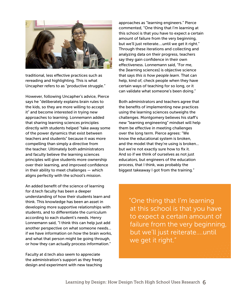

traditional, less effective practices such as rereading and highlighting. This is what Uncapher refers to as "productive struggle."

However, following Uncapher's advice, Pierce says he "deliberately explains brain rules to the kids, so they are more willing to accept it" and become interested in trying new approaches to learning. Lonnemann added that sharing learning sciences principles directly with students helped "take away some of the power dynamics that exist between teachers and students" because it was more compelling than simply a directive from the teacher. Ultimately both administrators and faculty believe the learning sciences principles will give students more ownership over their learning, and improved confidence in their ability to meet challenges — which aligns perfectly with the school's mission.

An added benefit of the science of learning for d.tech faculty has been a deeper understanding of how their students learn and think. This knowledge has been an asset in developing more supportive relationships with students, and to differentiate the curriculum according to each student's needs. Henry Lonnemann said, "I think this can help just add another perspective on what someone needs... if we have information on how the brain works, and what that person might be going through, or how they can actually process information."

Faculty at d.tech also seem to appreciate the administration's support as they freely design and experiment with new teaching

approaches as "learning engineers." Pierce commented, "One thing that I'm learning at this school is that you have to expect a certain amount of failure from the very beginning, but we'll just reiterate….until we get it right." Through these iterations and collecting and analyzing data on their progress, teachers say they gain confidence in their own effectiveness. Lonnemann said, "For me, the [learning sciences] is objective science that says *this is how people learn*. That can help, kind of, check people when they have certain ways of teaching for so long, or it can validate what someone's been doing."

Both administrators and teachers agree that the benefits of implementing new practices using the learning sciences outweighs the challenges. Montgomery believes his staff's new "learning engineering" mindset will help them be effective in meeting challenges over the long term. Pierce agrees: "We know the educational system is broken, and the model that they're using is broken... but we're not exactly sure how to fix it. And so if we think of ourselves as not just educators, but engineers of the education process, that I think, was probably the biggest takeaway I got from the training."

> "One thing that I'm learning at this school is that you have to expect a certain amount of failure from the very beginning, but we'll just reiterate….until we get it right."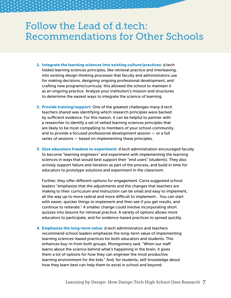#### Follow the Lead of d.tech: Recommendations for Other Schools

- 1. Integrate the learning sciences into existing culture/practices: d.tech folded learning sciences principles, like retrieval practice and interleaving, into existing design thinking processes that faculty and administrators use for making decisions, designing ongoing professional development, and crafting new programs/curricula; this allowed the school to maintain it as an ongoing practice. Analyze your institution's mission and structures to determine the easiest ways to integrate the science of learning.
- 2. Provide training/support: One of the greatest challenges many d.tech teachers shared was identifying which research principles were backed by sufficient evidence. For this reason, it can be helpful to partner with a researcher to identify a set of vetted learning sciences principles that are likely to be most compelling to members of your school community, and to provide a focused professional development session — or a full series of sessions — based on implementing these principles.
- 3. Give educators freedom to experiment: d.tech administration encouraged faculty to become "learning engineers" and experiment with implementing the learning sciences in ways that would best support their "end users" (students). They also actively support failure and iteration as part of the process, and build in time for educators to prototype solutions and experiment in the classroom.

Further, they offer different options for engagement. Cerra suggested school leaders "emphasize that the adjustments and the changes that teachers are making to their curriculum and instruction can be small and easy to implement, all the way up to more radical and more difficult to implement… You can start with easier, quicker things to implement and then see if you get results, and continue to reiterate." A smaller change could involve incorporating short quizzes into lessons for retrieval practice. A variety of options allows more educators to participate, and for evidence-based practices to spread quickly.

4. Emphasize the long-term value: d.tech administrators and teachers recommend school leaders emphasize the long-term value of implementing learning sciences-based practices for both educators and students. This enhances buy-in from both groups. Montgomery said, "When our staff learns about the science behind what's happening in the brain, it gives them a lot of options for how they can engineer the most productive learning environment for the kids." And, for students, self-knowledge about how they learn best can help them to excel in school and beyond.